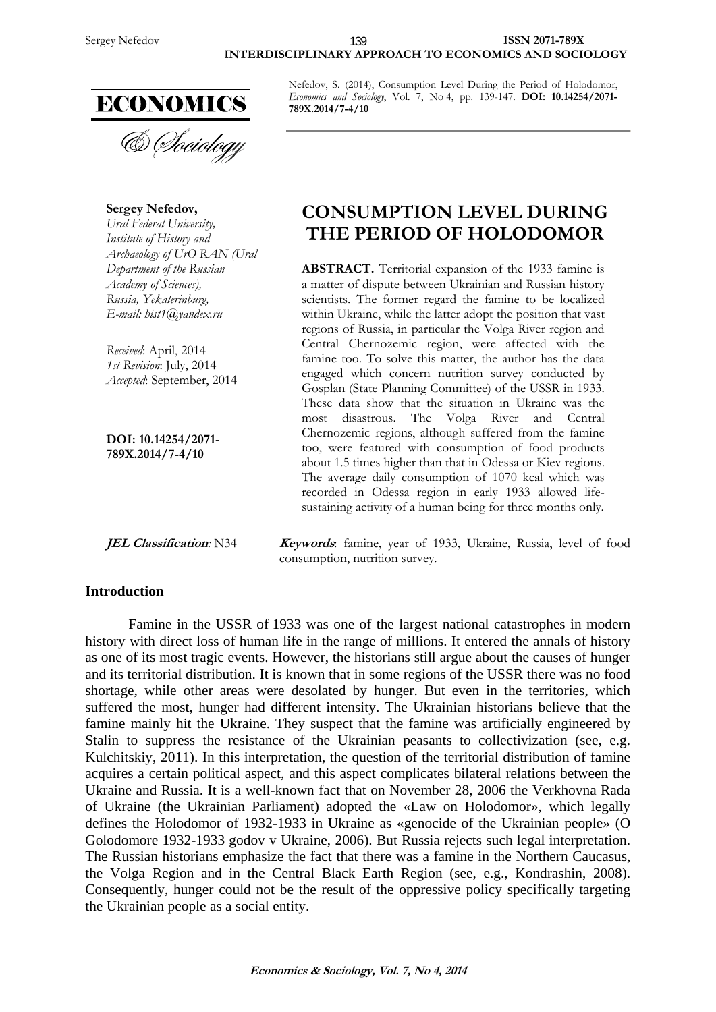

& *Cheiology* 

**Sergey Nefedov,**  *Ural Federal University, Institute of History and Archaeology of UrO RAN (Ural Department of the Russian Academy of Sciences), Russia, Yekaterinburg, E-mail: hist1@yandex.ru* 

*Received*: April, 2014 *1st Revision*: July, 2014 *Accepted*: September, 2014

**DOI: 10.14254/2071- 789X.2014/7-4/10**

#### **Introduction**

Nefedov, S. (2014), Consumption Level During the Period of Holodomor, *Economics and Sociology*, Vol. 7, No 4, pp. 139-147. **DOI: 10.14254/2071- 789X.2014/7-4/10** 

# **CONSUMPTION LEVEL DURING THE PERIOD OF HOLODOMOR**

**ABSTRACT.** Territorial expansion of the 1933 famine is a matter of dispute between Ukrainian and Russian history scientists. The former regard the famine to be localized within Ukraine, while the latter adopt the position that vast regions of Russia, in particular the Volga River region and Central Chernozemic region, were affected with the famine too. To solve this matter, the author has the data engaged which concern nutrition survey conducted by Gosplan (State Planning Committee) of the USSR in 1933. These data show that the situation in Ukraine was the most disastrous. The Volga River and Central Chernozemic regions, although suffered from the famine too, were featured with consumption of food products about 1.5 times higher than that in Odessa or Kiev regions. The average daily consumption of 1070 kcal which was recorded in Odessa region in early 1933 allowed lifesustaining activity of a human being for three months only.

**JEL Classification**: N34 **Keywords**: famine, year of 1933, Ukraine, Russia, level of food consumption, nutrition survey.

Famine in the USSR of 1933 was one of the largest national catastrophes in modern history with direct loss of human life in the range of millions. It entered the annals of history as one of its most tragic events. However, the historians still argue about the causes of hunger and its territorial distribution. It is known that in some regions of the USSR there was no food shortage, while other areas were desolated by hunger. But even in the territories, which suffered the most, hunger had different intensity. The Ukrainian historians believe that the famine mainly hit the Ukraine. They suspect that the famine was artificially engineered by Stalin to suppress the resistance of the Ukrainian peasants to collectivization (see, e.g. Kulchitskiy, 2011). In this interpretation, the question of the territorial distribution of famine acquires a certain political aspect, and this aspect complicates bilateral relations between the Ukraine and Russia. It is a well-known fact that on November 28, 2006 the Verkhovna Rada of Ukraine (the Ukrainian Parliament) adopted the «Law on Holodomor», which legally defines the Holodomor of 1932-1933 in Ukraine as «genocide of the Ukrainian people» (O Golodomore 1932-1933 godov v Ukraine, 2006). But Russia rejects such legal interpretation. The Russian historians emphasize the fact that there was a famine in the Northern Caucasus, the Volga Region and in the Central Black Earth Region (see, e.g., Kondrashin, 2008). Consequently, hunger could not be the result of the oppressive policy specifically targeting the Ukrainian people as a social entity.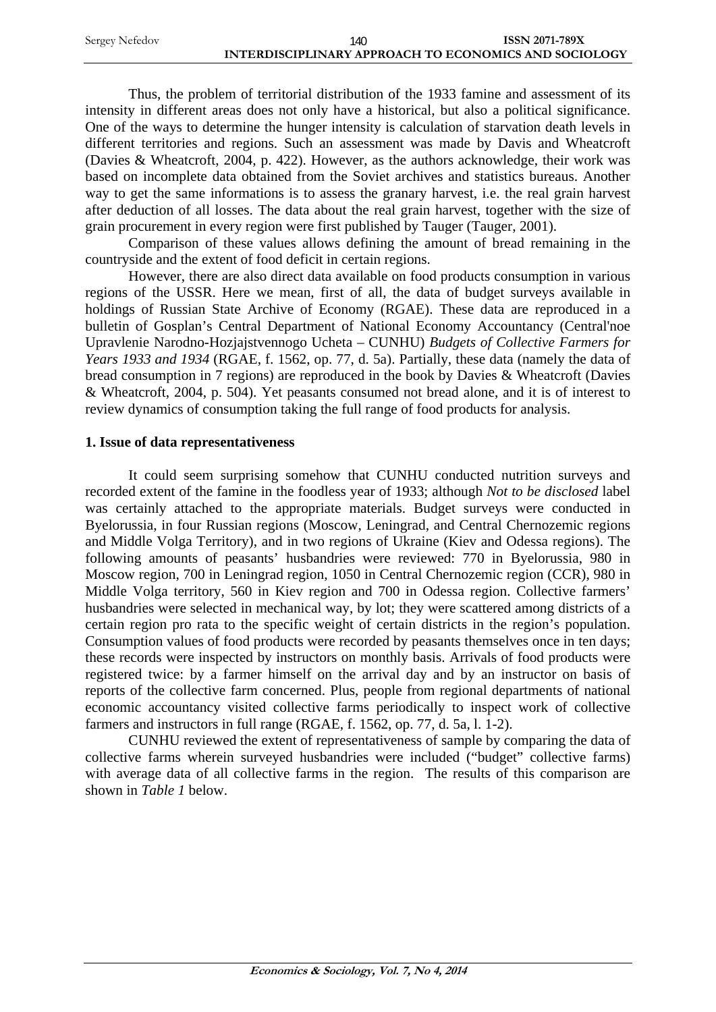| Sergey Nefedov | 140                                                   | <b>ISSN 2071-789X</b> |
|----------------|-------------------------------------------------------|-----------------------|
|                | INTERDISCIPLINARY APPROACH TO ECONOMICS AND SOCIOLOGY |                       |

Thus, the problem of territorial distribution of the 1933 famine and assessment of its intensity in different areas does not only have a historical, but also a political significance. One of the ways to determine the hunger intensity is calculation of starvation death levels in different territories and regions. Such an assessment was made by Davis and Wheatcroft (Davies & Wheatcroft, 2004, p. 422). However, as the authors acknowledge, their work was based on incomplete data obtained from the Soviet archives and statistics bureaus. Another way to get the same informations is to assess the granary harvest, i.e. the real grain harvest after deduction of all losses. The data about the real grain harvest, together with the size of grain procurement in every region were first published by Tauger (Tauger, 2001).

Comparison of these values allows defining the amount of bread remaining in the countryside and the extent of food deficit in certain regions.

However, there are also direct data available on food products consumption in various regions of the USSR. Here we mean, first of all, the data of budget surveys available in holdings of Russian State Archive of Economy (RGAE). These data are reproduced in a bulletin of Gosplan's Central Department of National Economy Accountancy (Central'noe Upravlenie Narodno-Hozjajstvennogo Ucheta – CUNHU) *Budgets of Collective Farmers for Years 1933 and 1934* (RGAE, f. 1562, op. 77, d. 5a). Partially, these data (namely the data of bread consumption in 7 regions) are reproduced in the book by Davies & Wheatcroft (Davies & Wheatcroft, 2004, p. 504). Yet peasants consumed not bread alone, and it is of interest to review dynamics of consumption taking the full range of food products for analysis.

#### **1. Issue of data representativeness**

It could seem surprising somehow that CUNHU conducted nutrition surveys and recorded extent of the famine in the foodless year of 1933; although *Not to be disclosed* label was certainly attached to the appropriate materials. Budget surveys were conducted in Byelorussia, in four Russian regions (Moscow, Leningrad, and Central Chernozemic regions and Middle Volga Territory), and in two regions of Ukraine (Kiev and Odessa regions). The following amounts of peasants' husbandries were reviewed: 770 in Byelorussia, 980 in Moscow region, 700 in Leningrad region, 1050 in Central Chernozemic region (CCR), 980 in Middle Volga territory, 560 in Kiev region and 700 in Odessa region. Collective farmers' husbandries were selected in mechanical way, by lot; they were scattered among districts of a certain region pro rata to the specific weight of certain districts in the region's population. Consumption values of food products were recorded by peasants themselves once in ten days; these records were inspected by instructors on monthly basis. Arrivals of food products were registered twice: by a farmer himself on the arrival day and by an instructor on basis of reports of the collective farm concerned. Plus, people from regional departments of national economic accountancy visited collective farms periodically to inspect work of collective farmers and instructors in full range (RGAE, f. 1562, op. 77, d. 5a, l. 1-2).

CUNHU reviewed the extent of representativeness of sample by comparing the data of collective farms wherein surveyed husbandries were included ("budget" collective farms) with average data of all collective farms in the region. The results of this comparison are shown in *Table 1* below.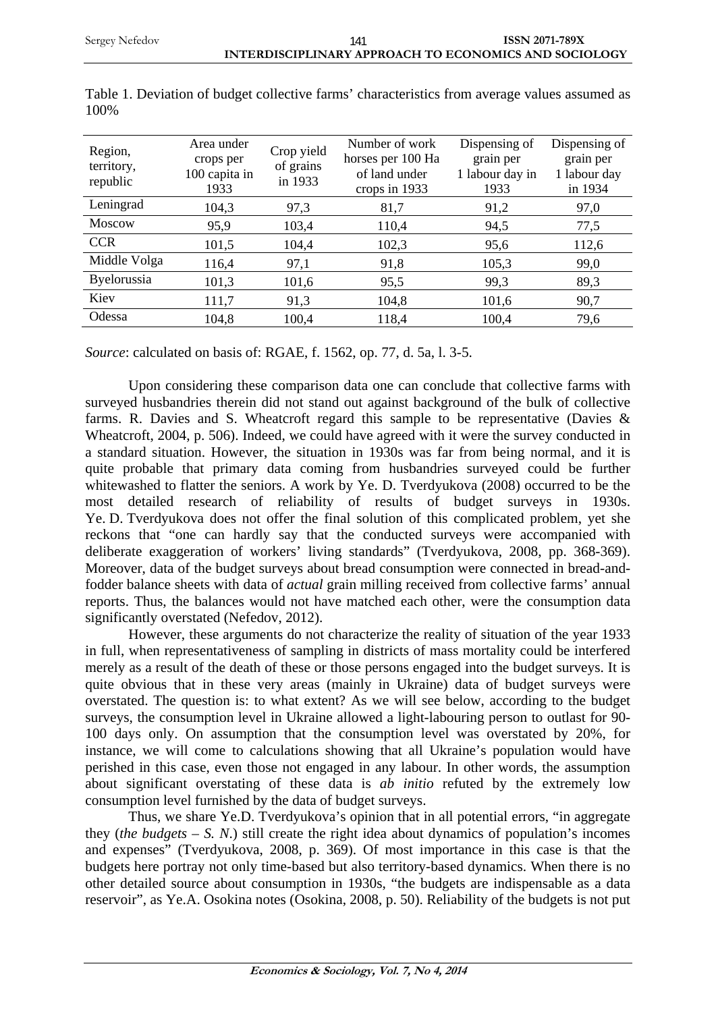| Region,<br>territory,<br>republic | Area under<br>crops per<br>100 capita in<br>1933 | Crop yield<br>of grains<br>in 1933 | Number of work<br>horses per 100 Ha<br>of land under<br>crops in 1933 | Dispensing of<br>grain per<br>1 labour day in<br>1933 | Dispensing of<br>grain per<br>1 labour day<br>in 1934 |
|-----------------------------------|--------------------------------------------------|------------------------------------|-----------------------------------------------------------------------|-------------------------------------------------------|-------------------------------------------------------|
| Leningrad                         | 104,3                                            | 97,3                               | 81,7                                                                  | 91,2                                                  | 97,0                                                  |
| <b>Moscow</b>                     | 95,9                                             | 103,4                              | 110,4                                                                 | 94,5                                                  | 77,5                                                  |
| <b>CCR</b>                        | 101,5                                            | 104,4                              | 102,3                                                                 | 95,6                                                  | 112,6                                                 |
| Middle Volga                      | 116,4                                            | 97,1                               | 91,8                                                                  | 105,3                                                 | 99,0                                                  |
| <b>Byelorussia</b>                | 101,3                                            | 101,6                              | 95,5                                                                  | 99,3                                                  | 89,3                                                  |
| Kiev                              | 111,7                                            | 91,3                               | 104,8                                                                 | 101,6                                                 | 90,7                                                  |
| Odessa                            | 104,8                                            | 100,4                              | 118,4                                                                 | 100,4                                                 | 79,6                                                  |

Table 1. Deviation of budget collective farms' characteristics from average values assumed as 100%

*Source*: calculated on basis of: RGAE, f. 1562, op. 77, d. 5a, l. 3-5.

Upon considering these comparison data one can conclude that collective farms with surveyed husbandries therein did not stand out against background of the bulk of collective farms. R. Davies and S. Wheatcroft regard this sample to be representative (Davies  $\&$ Wheatcroft, 2004, p. 506). Indeed, we could have agreed with it were the survey conducted in a standard situation. However, the situation in 1930s was far from being normal, and it is quite probable that primary data coming from husbandries surveyed could be further whitewashed to flatter the seniors. A work by Ye. D. Tverdyukova (2008) occurred to be the most detailed research of reliability of results of budget surveys in 1930s. Ye. D. Tverdyukova does not offer the final solution of this complicated problem, yet she reckons that "one can hardly say that the conducted surveys were accompanied with deliberate exaggeration of workers' living standards" (Tverdyukova, 2008, pp. 368-369). Moreover, data of the budget surveys about bread consumption were connected in bread-andfodder balance sheets with data of *actual* grain milling received from collective farms' annual reports. Thus, the balances would not have matched each other, were the consumption data significantly overstated (Nefedov, 2012).

However, these arguments do not characterize the reality of situation of the year 1933 in full, when representativeness of sampling in districts of mass mortality could be interfered merely as a result of the death of these or those persons engaged into the budget surveys. It is quite obvious that in these very areas (mainly in Ukraine) data of budget surveys were overstated. The question is: to what extent? As we will see below, according to the budget surveys, the consumption level in Ukraine allowed a light-labouring person to outlast for 90- 100 days only. On assumption that the consumption level was overstated by 20%, for instance, we will come to calculations showing that all Ukraine's population would have perished in this case, even those not engaged in any labour. In other words, the assumption about significant overstating of these data is *ab initio* refuted by the extremely low consumption level furnished by the data of budget surveys.

Thus, we share Ye.D. Tverdyukova's opinion that in all potential errors, "in aggregate they (*the budgets – S. N*.) still create the right idea about dynamics of population's incomes and expenses" (Tverdyukova, 2008, p. 369). Of most importance in this case is that the budgets here portray not only time-based but also territory-based dynamics. When there is no other detailed source about consumption in 1930s, "the budgets are indispensable as a data reservoir", as Ye.A. Osokina notes (Osokina, 2008, p. 50). Reliability of the budgets is not put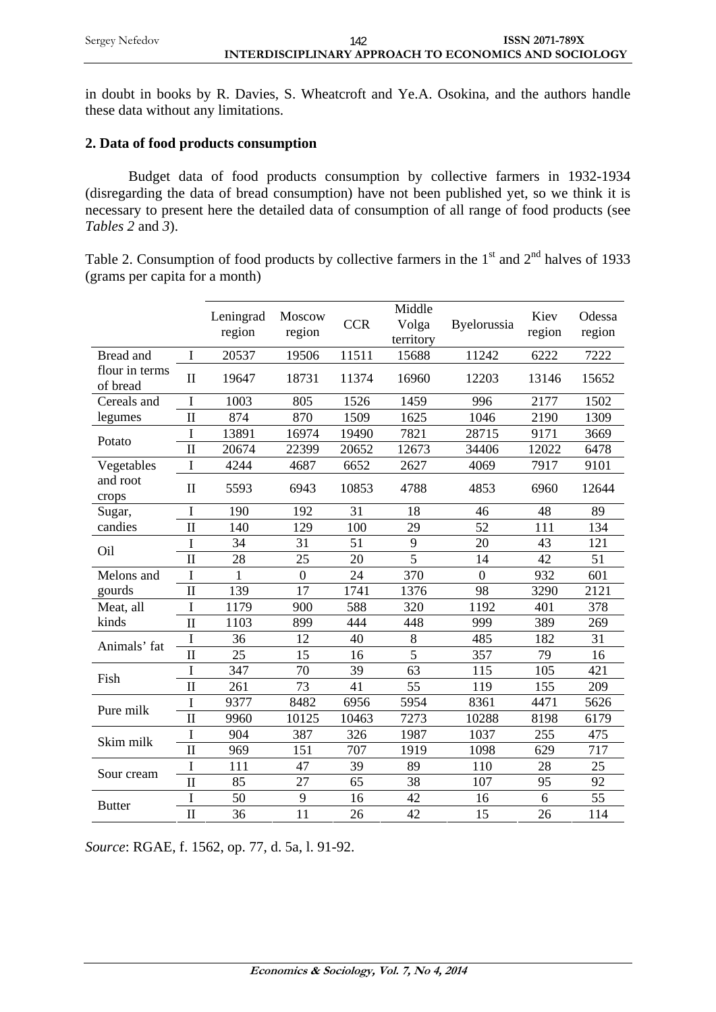in doubt in books by R. Davies, S. Wheatcroft and Ye.A. Osokina, and the authors handle these data without any limitations.

## **2. Data of food products consumption**

Budget data of food products consumption by collective farmers in 1932-1934 (disregarding the data of bread consumption) have not been published yet, so we think it is necessary to present here the detailed data of consumption of all range of food products (see *Tables 2* and *3*).

Table 2. Consumption of food products by collective farmers in the  $1<sup>st</sup>$  and  $2<sup>nd</sup>$  halves of 1933 (grams per capita for a month)

|                            |                     | Leningrad<br>region | Moscow<br>region | <b>CCR</b> | Middle<br>Volga<br>territory | Byelorussia    | Kiev<br>region | Odessa<br>region |
|----------------------------|---------------------|---------------------|------------------|------------|------------------------------|----------------|----------------|------------------|
| Bread and                  | $\mathbf I$         | 20537               | 19506            | 11511      | 15688                        | 11242          | 6222           | 7222             |
| flour in terms<br>of bread | $\mathbf{I}$        | 19647               | 18731            | 11374      | 16960                        | 12203          | 13146          | 15652            |
| Cereals and                | I                   | 1003                | 805              | 1526       | 1459                         | 996            | 2177           | 1502             |
| legumes                    | $\mathbf{I}$        | 874                 | 870              | 1509       | 1625                         | 1046           | 2190           | 1309             |
| Potato                     | I                   | 13891               | 16974            | 19490      | 7821                         | 28715          | 9171           | 3669             |
|                            | $\overline{\rm II}$ | 20674               | 22399            | 20652      | 12673                        | 34406          | 12022          | 6478             |
| Vegetables                 | I                   | 4244                | 4687             | 6652       | 2627                         | 4069           | 7917           | 9101             |
| and root<br>crops          | $\mathbf{I}$        | 5593                | 6943             | 10853      | 4788                         | 4853           | 6960           | 12644            |
| Sugar,                     | I                   | 190                 | 192              | 31         | 18                           | 46             | 48             | 89               |
| candies                    | $\overline{\rm II}$ | 140                 | 129              | 100        | 29                           | 52             | 111            | 134              |
| Oil                        | I                   | 34                  | 31               | 51         | 9                            | 20             | 43             | 121              |
|                            | $\overline{\rm II}$ | 28                  | 25               | 20         | 5                            | 14             | 42             | 51               |
| Melons and                 | I                   | 1                   | $\mathbf{0}$     | 24         | 370                          | $\overline{0}$ | 932            | 601              |
| gourds                     | $\mathbf{I}$        | 139                 | 17               | 1741       | 1376                         | 98             | 3290           | 2121             |
| Meat, all                  | I                   | 1179                | 900              | 588        | 320                          | 1192           | 401            | 378              |
| kinds                      | $\mathbf{I}$        | 1103                | 899              | 444        | 448                          | 999            | 389            | 269              |
| Animals' fat               | I                   | 36                  | 12               | 40         | 8                            | 485            | 182            | 31               |
|                            | $\overline{\rm II}$ | 25                  | 15               | 16         | 5                            | 357            | 79             | 16               |
| Fish                       | I                   | 347                 | 70               | 39         | 63                           | 115            | 105            | 421              |
|                            | $\mathbf{I}$        | 261                 | 73               | 41         | 55                           | 119            | 155            | 209              |
| Pure milk                  | I                   | 9377                | 8482             | 6956       | 5954                         | 8361           | 4471           | 5626             |
|                            | $\mathbf{I}$        | 9960                | 10125            | 10463      | 7273                         | 10288          | 8198           | 6179             |
| Skim milk                  | I                   | 904                 | 387              | 326        | 1987                         | 1037           | 255            | 475              |
|                            | $\overline{\rm II}$ | 969                 | 151              | 707        | 1919                         | 1098           | 629            | 717              |
|                            | I                   | 111                 | 47               | 39         | 89                           | 110            | 28             | 25               |
| Sour cream                 | $\overline{\rm II}$ | 85                  | 27               | 65         | 38                           | 107            | 95             | 92               |
|                            | I                   | 50                  | 9                | 16         | 42                           | 16             | 6              | 55               |
| <b>Butter</b>              | $\overline{\rm II}$ | 36                  | 11               | 26         | 42                           | 15             | 26             | 114              |

*Source*: RGAE, f. 1562, op. 77, d. 5a, l. 91-92.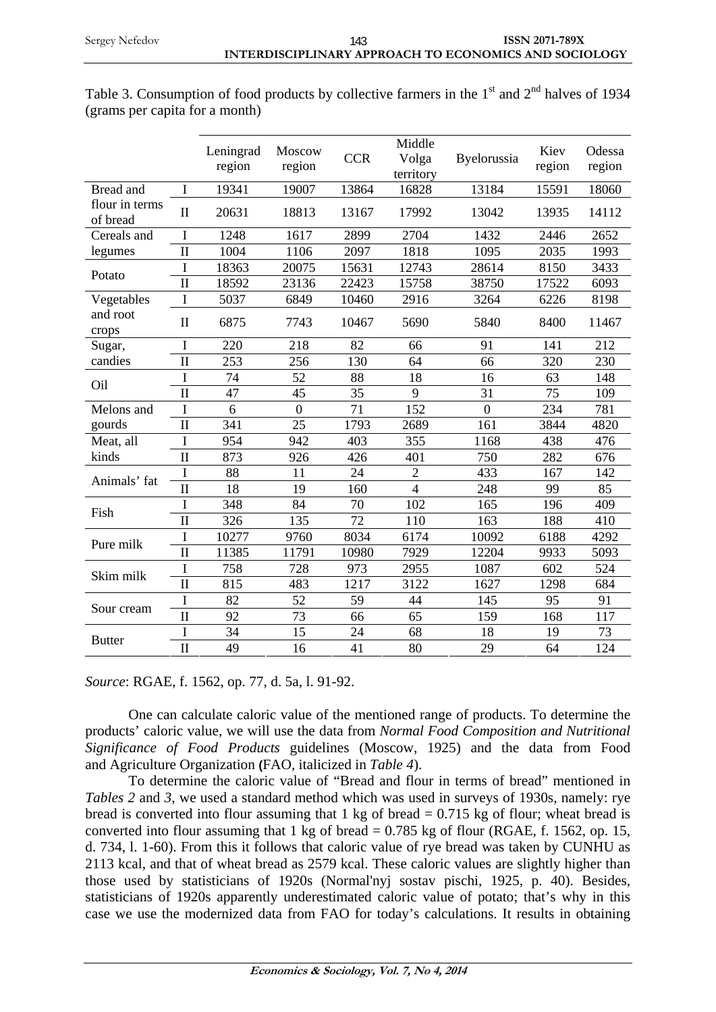|                            |                     | Leningrad<br>region | Moscow<br>region | <b>CCR</b> | Middle<br>Volga<br>territory | Byelorussia    | Kiev<br>region | Odessa<br>region |
|----------------------------|---------------------|---------------------|------------------|------------|------------------------------|----------------|----------------|------------------|
| Bread and                  | I                   | 19341               | 19007            | 13864      | 16828                        | 13184          | 15591          | 18060            |
| flour in terms<br>of bread | $\mathbf{I}$        | 20631               | 18813            | 13167      | 17992                        | 13042          | 13935          | 14112            |
| Cereals and                | I                   | 1248                | 1617             | 2899       | 2704                         | 1432           | 2446           | 2652             |
| legumes                    | $\mathbf{I}$        | 1004                | 1106             | 2097       | 1818                         | 1095           | 2035           | 1993             |
| Potato                     | I                   | 18363               | 20075            | 15631      | 12743                        | 28614          | 8150           | 3433             |
|                            | $\mathbf{I}$        | 18592               | 23136            | 22423      | 15758                        | 38750          | 17522          | 6093             |
| Vegetables                 | I                   | 5037                | 6849             | 10460      | 2916                         | 3264           | 6226           | 8198             |
| and root<br>crops          | $\mathbf{I}$        | 6875                | 7743             | 10467      | 5690                         | 5840           | 8400           | 11467            |
| Sugar,                     | I                   | 220                 | 218              | 82         | 66                           | 91             | 141            | 212              |
| candies                    | $\mathbf{I}$        | 253                 | 256              | 130        | 64                           | 66             | 320            | 230              |
| Oil                        | I                   | 74                  | 52               | 88         | 18                           | 16             | 63             | 148              |
|                            | $\mathbf{I}$        | 47                  | 45               | 35         | 9                            | 31             | 75             | 109              |
| Melons and                 | I                   | 6                   | $\overline{0}$   | 71         | 152                          | $\overline{0}$ | 234            | 781              |
| gourds                     | $\mathbf{I}$        | 341                 | 25               | 1793       | 2689                         | 161            | 3844           | 4820             |
| Meat, all                  | I                   | 954                 | 942              | 403        | 355                          | 1168           | 438            | 476              |
| kinds                      | $\mathbf{I}$        | 873                 | 926              | 426        | 401                          | 750            | 282            | 676              |
| Animals' fat               | I                   | 88                  | 11               | 24         | $\overline{2}$               | 433            | 167            | 142              |
|                            | $\overline{\rm II}$ | 18                  | 19               | 160        | $\overline{4}$               | 248            | 99             | 85               |
| Fish                       | I                   | 348                 | 84               | 70         | 102                          | 165            | 196            | 409              |
|                            | $\mathbf{I}$        | 326                 | 135              | 72         | 110                          | 163            | 188            | 410              |
| Pure milk                  | I                   | 10277               | 9760             | 8034       | 6174                         | 10092          | 6188           | 4292             |
|                            | $\mathbf{I}$        | 11385               | 11791            | 10980      | 7929                         | 12204          | 9933           | 5093             |
| Skim milk                  | I                   | 758                 | 728              | 973        | 2955                         | 1087           | 602            | 524              |
|                            | $\mathbf{I}$        | 815                 | 483              | 1217       | 3122                         | 1627           | 1298           | 684              |
| Sour cream                 | I                   | 82                  | 52               | 59         | 44                           | 145            | 95             | 91               |
|                            | $\mathbf{I}$        | 92                  | 73               | 66         | 65                           | 159            | 168            | 117              |
| <b>Butter</b>              | I                   | 34                  | 15               | 24         | 68                           | 18             | 19             | 73               |
|                            | $\mathbf{I}$        | 49                  | 16               | 41         | 80                           | 29             | 64             | 124              |

| Table 3. Consumption of food products by collective farmers in the $1st$ and $2nd$ halves of 1934 |  |  |  |  |
|---------------------------------------------------------------------------------------------------|--|--|--|--|
| (grams per capita for a month)                                                                    |  |  |  |  |

*Source*: RGAE, f. 1562, op. 77, d. 5a, l. 91-92.

One can calculate caloric value of the mentioned range of products. To determine the products' caloric value, we will use the data from *Normal Food Composition and Nutritional Significance of Food Products* guidelines (Moscow, 1925) and the data from Food and Agriculture Organization **(**FAO, italicized in *Table 4*).

To determine the caloric value of "Bread and flour in terms of bread" mentioned in *Tables 2* and *3*, we used a standard method which was used in surveys of 1930s, namely: rye bread is converted into flour assuming that  $1 \text{ kg}$  of bread = 0.715 kg of flour; wheat bread is converted into flour assuming that 1 kg of bread  $= 0.785$  kg of flour (RGAE, f. 1562, op. 15, d. 734, l. 1-60). From this it follows that caloric value of rye bread was taken by CUNHU as 2113 kcal, and that of wheat bread as 2579 kcal. These caloric values are slightly higher than those used by statisticians of 1920s (Normal'nyj sostav pischi, 1925, p. 40). Besides, statisticians of 1920s apparently underestimated caloric value of potato; that's why in this case we use the modernized data from FAO for today's calculations. It results in obtaining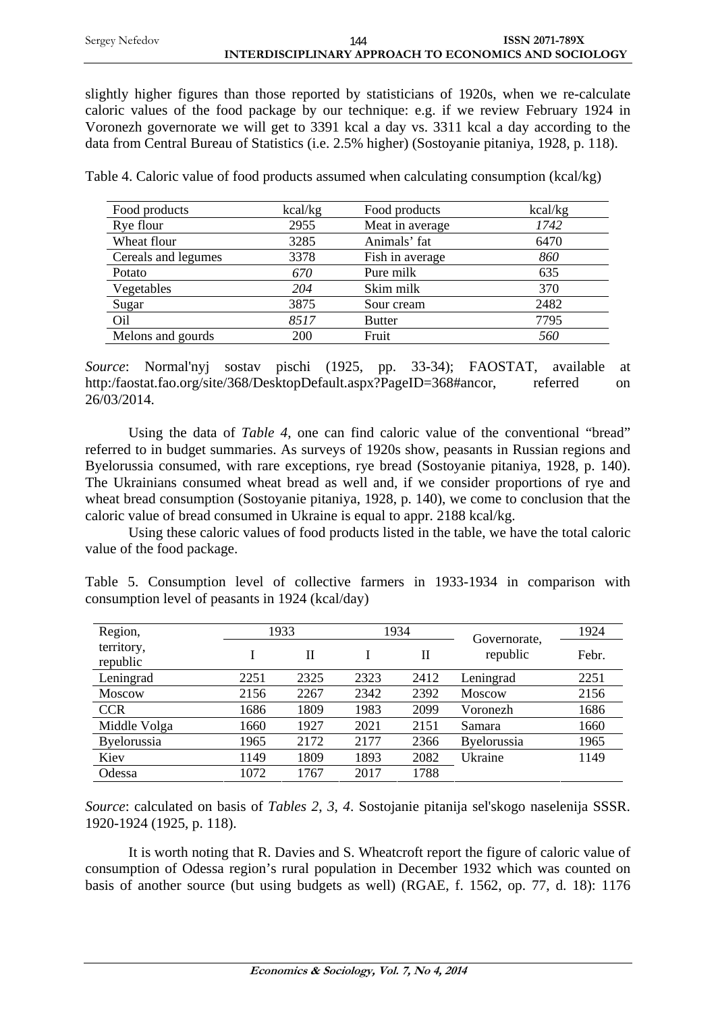slightly higher figures than those reported by statisticians of 1920s, when we re-calculate caloric values of the food package by our technique: e.g. if we review February 1924 in Voronezh governorate we will get to 3391 kcal a day vs. 3311 kcal a day according to the data from Central Bureau of Statistics (i.e. 2.5% higher) (Sostoyanie pitaniya, 1928, p. 118).

Table 4. Caloric value of food products assumed when calculating consumption (kcal/kg)

| Food products       | kcal/kg | Food products   | kcal/kg |
|---------------------|---------|-----------------|---------|
| Rye flour           | 2955    | Meat in average | 1742    |
| Wheat flour         | 3285    | Animals' fat    | 6470    |
| Cereals and legumes | 3378    | Fish in average | 860     |
| Potato              | 670     | Pure milk       | 635     |
| Vegetables          | 204     | Skim milk       | 370     |
| Sugar               | 3875    | Sour cream      | 2482    |
| O <sub>il</sub>     | 8517    | <b>Butter</b>   | 7795    |
| Melons and gourds   | 200     | Fruit           | 560     |

*Source*: Normal'nyj sostav pischi (1925, pp. 33-34); FAOSTAT, available at http:/faostat.fao.org/site/368/DesktopDefault.aspx?PageID=368#ancor, referred on 26/03/2014.

Using the data of *Table 4*, one can find caloric value of the conventional "bread" referred to in budget summaries. As surveys of 1920s show, peasants in Russian regions and Byelorussia consumed, with rare exceptions, rye bread (Sostoyanie pitaniya, 1928, p. 140). The Ukrainians consumed wheat bread as well and, if we consider proportions of rye and wheat bread consumption (Sostoyanie pitaniya, 1928, p. 140), we come to conclusion that the caloric value of bread consumed in Ukraine is equal to appr. 2188 kcal/kg.

Using these caloric values of food products listed in the table, we have the total caloric value of the food package.

|  | Table 5. Consumption level of collective farmers in 1933-1934 in comparison with |  |  |  |  |  |
|--|----------------------------------------------------------------------------------|--|--|--|--|--|
|  | consumption level of peasants in 1924 (kcal/day)                                 |  |  |  |  |  |

| Region,                | 1933 |              |      | 1934 | Governorate.  | 1924  |
|------------------------|------|--------------|------|------|---------------|-------|
| territory,<br>republic |      | $\mathbf{I}$ |      | Н    | republic      | Febr. |
| Leningrad              | 2251 | 2325         | 2323 | 2412 | Leningrad     | 2251  |
| <b>Moscow</b>          | 2156 | 2267         | 2342 | 2392 | <b>Moscow</b> | 2156  |
| <b>CCR</b>             | 1686 | 1809         | 1983 | 2099 | Voronezh      | 1686  |
| Middle Volga           | 1660 | 1927         | 2021 | 2151 | Samara        | 1660  |
| Byelorussia            | 1965 | 2172         | 2177 | 2366 | Byelorussia   | 1965  |
| Kiev                   | 1149 | 1809         | 1893 | 2082 | Ukraine       | 1149  |
| Odessa                 | 1072 | 1767         | 2017 | 1788 |               |       |

*Source*: calculated on basis of *Tables 2*, *3*, *4*. Sostojanie pitanija sel'skogo naselenija SSSR. 1920-1924 (1925, p. 118).

It is worth noting that R. Davies and S. Wheatcroft report the figure of caloric value of consumption of Odessa region's rural population in December 1932 which was counted on basis of another source (but using budgets as well) (RGAE, f. 1562, op. 77, d. 18): 1176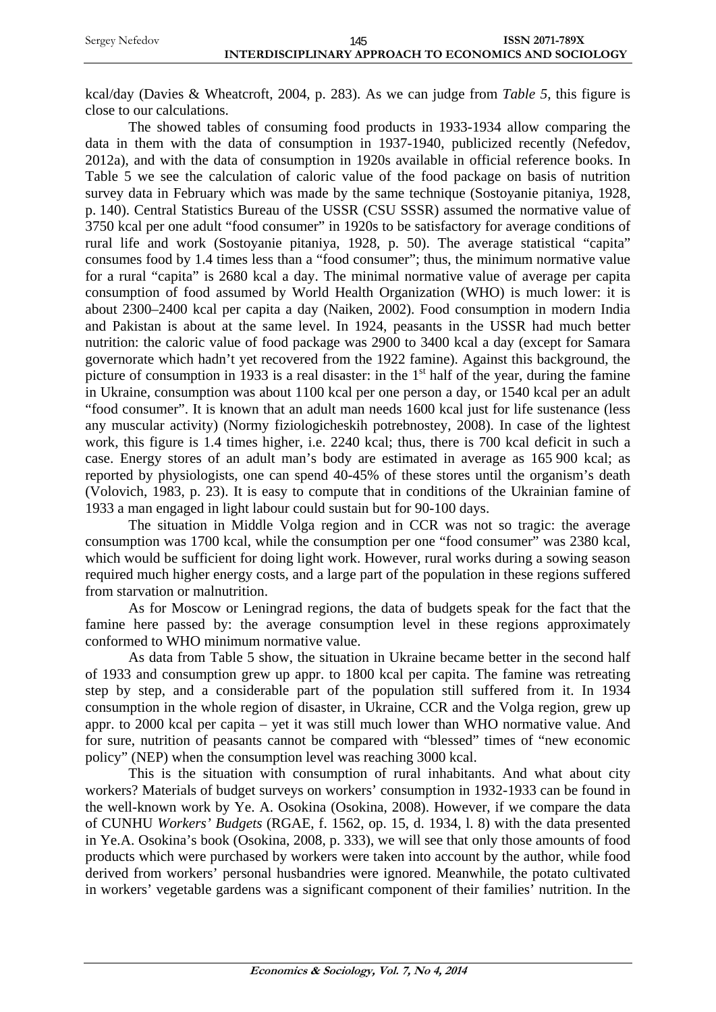kcal/day (Davies & Wheatcroft, 2004, p. 283). As we can judge from *Table 5*, this figure is close to our calculations.

The showed tables of consuming food products in 1933-1934 allow comparing the data in them with the data of consumption in 1937-1940, publicized recently (Nefedov, 2012a), and with the data of consumption in 1920s available in official reference books. In Table 5 we see the calculation of caloric value of the food package on basis of nutrition survey data in February which was made by the same technique (Sostoyanie pitaniya, 1928, p. 140). Central Statistics Bureau of the USSR (CSU SSSR) assumed the normative value of 3750 kcal per one adult "food consumer" in 1920s to be satisfactory for average conditions of rural life and work (Sostoyanie pitaniya, 1928, p. 50). The average statistical "capita" consumes food by 1.4 times less than a "food consumer"; thus, the minimum normative value for a rural "capita" is 2680 kcal a day. The minimal normative value of average per capita consumption of food assumed by World Health Organization (WHO) is much lower: it is about 2300–2400 kcal per capita a day (Naiken, 2002). Food consumption in modern India and Pakistan is about at the same level. In 1924, peasants in the USSR had much better nutrition: the caloric value of food package was 2900 to 3400 kcal a day (except for Samara governorate which hadn't yet recovered from the 1922 famine). Against this background, the picture of consumption in 1933 is a real disaster: in the  $1<sup>st</sup>$  half of the year, during the famine in Ukraine, consumption was about 1100 kcal per one person a day, or 1540 kcal per an adult "food consumer". It is known that an adult man needs 1600 kcal just for life sustenance (less any muscular activity) (Normy fiziologicheskih potrebnostey, 2008). In case of the lightest work, this figure is 1.4 times higher, i.e. 2240 kcal; thus, there is 700 kcal deficit in such a case. Energy stores of an adult man's body are estimated in average as 165 900 kcal; as reported by physiologists, one can spend 40-45% of these stores until the organism's death (Volovich, 1983, p. 23). It is easy to compute that in conditions of the Ukrainian famine of 1933 a man engaged in light labour could sustain but for 90-100 days.

The situation in Middle Volga region and in CCR was not so tragic: the average consumption was 1700 kcal, while the consumption per one "food consumer" was 2380 kcal, which would be sufficient for doing light work. However, rural works during a sowing season required much higher energy costs, and a large part of the population in these regions suffered from starvation or malnutrition.

As for Moscow or Leningrad regions, the data of budgets speak for the fact that the famine here passed by: the average consumption level in these regions approximately conformed to WHO minimum normative value.

As data from Table 5 show, the situation in Ukraine became better in the second half of 1933 and consumption grew up appr. to 1800 kcal per capita. The famine was retreating step by step, and a considerable part of the population still suffered from it. In 1934 consumption in the whole region of disaster, in Ukraine, CCR and the Volga region, grew up appr. to 2000 kcal per capita – yet it was still much lower than WHO normative value. And for sure, nutrition of peasants cannot be compared with "blessed" times of "new economic policy" (NEP) when the consumption level was reaching 3000 kcal.

This is the situation with consumption of rural inhabitants. And what about city workers? Materials of budget surveys on workers' consumption in 1932-1933 can be found in the well-known work by Ye. A. Osokina (Osokina, 2008). However, if we compare the data of CUNHU *Workers' Budgets* (RGAE, f. 1562, op. 15, d. 1934, l. 8) with the data presented in Ye.A. Osokina's book (Osokina, 2008, p. 333), we will see that only those amounts of food products which were purchased by workers were taken into account by the author, while food derived from workers' personal husbandries were ignored. Meanwhile, the potato cultivated in workers' vegetable gardens was a significant component of their families' nutrition. In the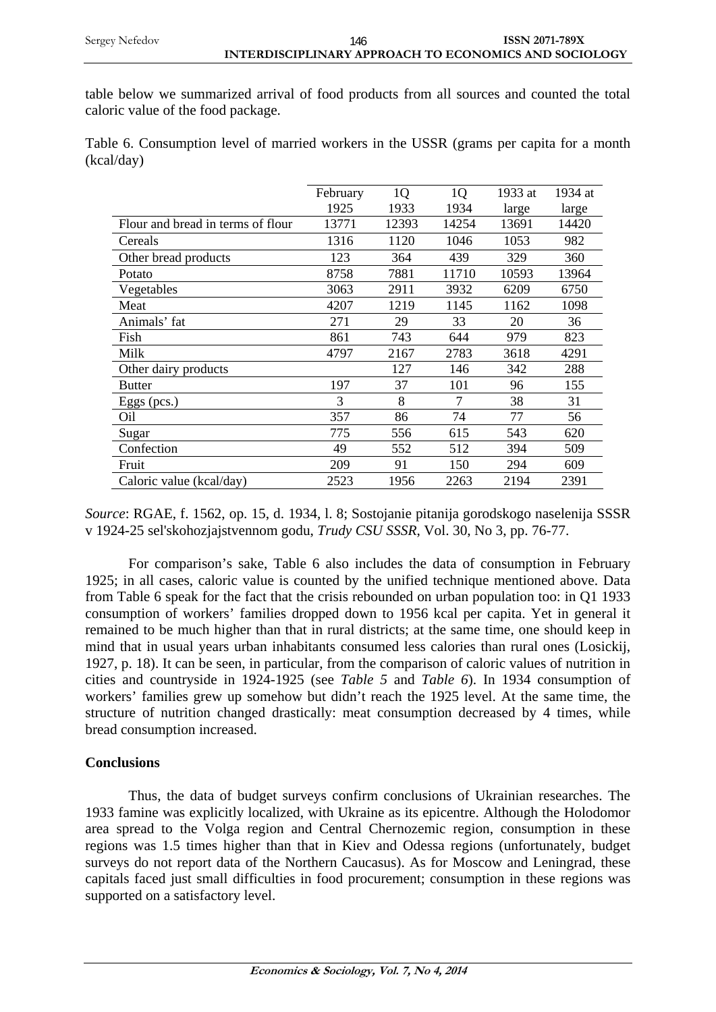table below we summarized arrival of food products from all sources and counted the total caloric value of the food package.

Table 6. Consumption level of married workers in the USSR (grams per capita for a month (kcal/day)

|                                   | February | 1 <sub>Q</sub> | 1Q    | 1933 at | 1934 at |
|-----------------------------------|----------|----------------|-------|---------|---------|
|                                   | 1925     | 1933           | 1934  | large   | large   |
| Flour and bread in terms of flour | 13771    | 12393          | 14254 | 13691   | 14420   |
| Cereals                           | 1316     | 1120           | 1046  | 1053    | 982     |
| Other bread products              | 123      | 364            | 439   | 329     | 360     |
| Potato                            | 8758     | 7881           | 11710 | 10593   | 13964   |
| Vegetables                        | 3063     | 2911           | 3932  | 6209    | 6750    |
| Meat                              | 4207     | 1219           | 1145  | 1162    | 1098    |
| Animals' fat                      | 271      | 29             | 33    | 20      | 36      |
| Fish                              | 861      | 743            | 644   | 979     | 823     |
| Milk                              | 4797     | 2167           | 2783  | 3618    | 4291    |
| Other dairy products              |          | 127            | 146   | 342     | 288     |
| <b>Butter</b>                     | 197      | 37             | 101   | 96      | 155     |
| Eggs (pcs.)                       | 3        | 8              | 7     | 38      | 31      |
| O <sub>il</sub>                   | 357      | 86             | 74    | 77      | 56      |
| Sugar                             | 775      | 556            | 615   | 543     | 620     |
| Confection                        | 49       | 552            | 512   | 394     | 509     |
| Fruit                             | 209      | 91             | 150   | 294     | 609     |
| Caloric value (kcal/day)          | 2523     | 1956           | 2263  | 2194    | 2391    |

*Source*: RGAE, f. 1562, op. 15, d. 1934, l. 8; Sostojanie pitanija gorodskogo naselenija SSSR v 1924-25 sel'skohozjajstvennom godu, *Trudy CSU SSSR*, Vol. 30, No 3, pp. 76-77.

For comparison's sake, Table 6 also includes the data of consumption in February 1925; in all cases, caloric value is counted by the unified technique mentioned above. Data from Table 6 speak for the fact that the crisis rebounded on urban population too: in Q1 1933 consumption of workers' families dropped down to 1956 kcal per capita. Yet in general it remained to be much higher than that in rural districts; at the same time, one should keep in mind that in usual years urban inhabitants consumed less calories than rural ones (Losickij, 1927, p. 18). It can be seen, in particular, from the comparison of caloric values of nutrition in cities and countryside in 1924-1925 (see *Table 5* and *Table 6*). In 1934 consumption of workers' families grew up somehow but didn't reach the 1925 level. At the same time, the structure of nutrition changed drastically: meat consumption decreased by 4 times, while bread consumption increased.

### **Conclusions**

Thus, the data of budget surveys confirm conclusions of Ukrainian researches. The 1933 famine was explicitly localized, with Ukraine as its epicentre. Although the Holodomor area spread to the Volga region and Central Chernozemic region, consumption in these regions was 1.5 times higher than that in Kiev and Odessa regions (unfortunately, budget surveys do not report data of the Northern Caucasus). As for Moscow and Leningrad, these capitals faced just small difficulties in food procurement; consumption in these regions was supported on a satisfactory level.